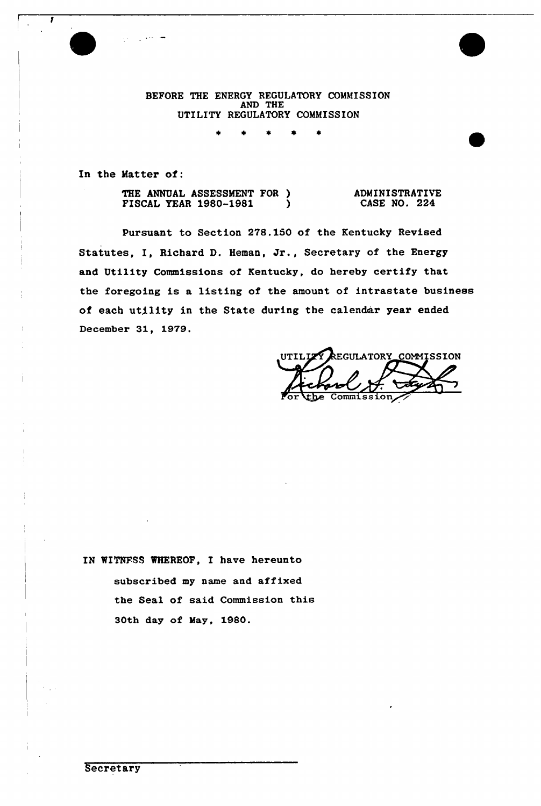BEFORE THE ENERGY REGULATORY COMMISSION AND THE UTILITY REGULATORY COMMISSION

In the Matter of:

THE ANNUAL ASSESSMENT FOR )<br>FISCAL YEAR 1980-1981 FISCAL YEAR 1980-1981 ) ADMINISTRATIVE CASE NO. 224

Pursuant to Section 278.150 of the Kentucky Revised Statutes, I, Richard D. Heman, Jr., Secretary of the Energy and Utility Commissions of Kentucky, do hereby certify that the foregoing is a listing of the amount of intrastate business of each utility in the State during the calendar year ended December 31, 1979.

REGULATORY\_COMMISSION UTILIZY Ficher

IN WITNESS WHEREOF, I have hereunto subscribed my name and affixed the Seal of said Commission this 30th day of May, 1980.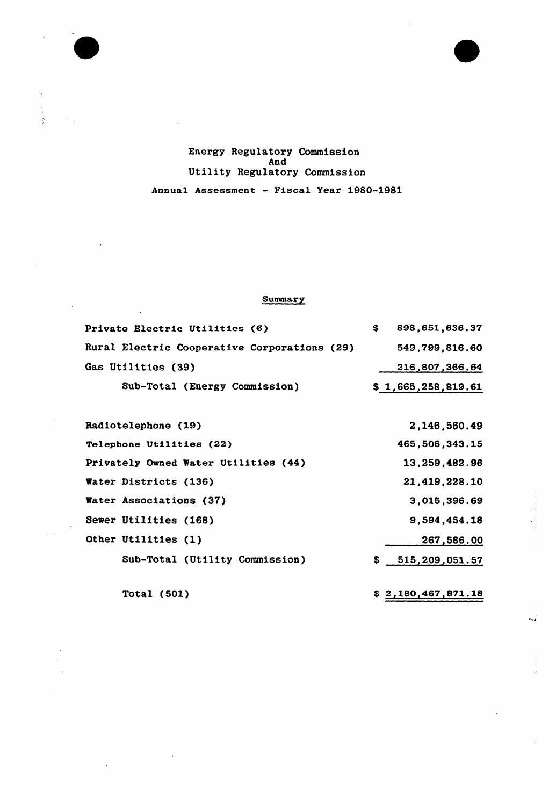

### Energy Regulatory Commission And Utility Regulatory Commission Annual Assessment — Fiscal Year 1980-1981

#### **Summary**

| Private Electric Utilities (6)               | S. | 898,651,636.37     |
|----------------------------------------------|----|--------------------|
| Rural Electric Cooperative Corporations (29) |    | 549,799,816.60     |
| Gas Utilities (39)                           |    | 216,807,366.64     |
| Sub-Total (Energy Commission)                |    | \$1,665,258,819.61 |

Radiotelephone (19) Telephone Utilities {22) Privately Owned Water Utilities (44) Water Districts (136) Water Associations (37) Sewer Utilities (168) Other Utilities (1) Sub-Total (Utility Commission) 2,146,560.49 465,506,343.15 13,259,4&2.96 21,419,228.10 3,015,396.69 9,594,454.18 267,586.00  $$515,209,051.57$ 

 $\frac{1}{\sqrt{2}}$ 

Total (501)  $$2,180,467,871.18$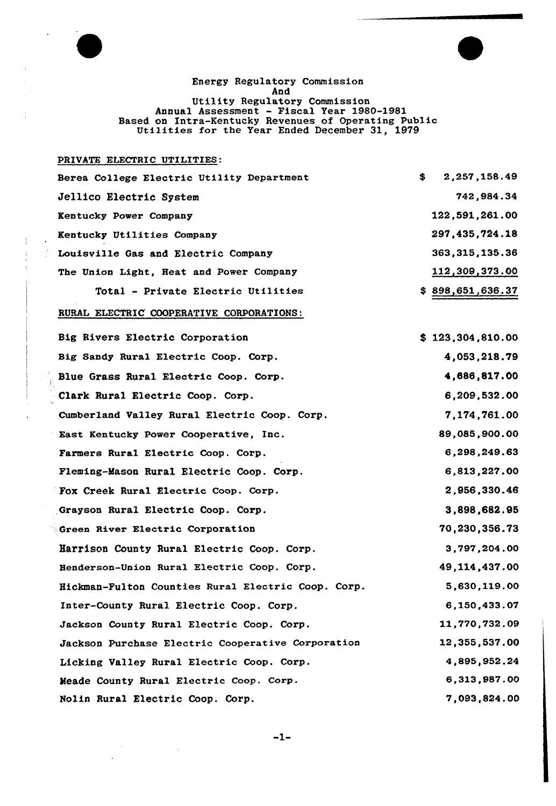

 $\ddot{\phantom{a}}$ 

 $\Delta$  $\frac{d}{dt}$ 

Energy Regulatory Commission And Utility Regulatory Commission Annual Assessment - Fiscal Year 1980-1981 Based on Intra-Kentucky Revenues of Operating Public Utilities for the Year Ended December 31, <sup>1979</sup>

### PRIVATE ELECTRIC UTILITIES:

 $\sim$   $\sim$ 

 $\ddot{\phantom{a}}$ 

 $\sim 10^7$ 

| Berea College Electric Utility Department | 2,257,158.49<br>S. |
|-------------------------------------------|--------------------|
| Jellico Electric System                   | 742,984.34         |
| Kentucky Power Company                    | 122,591,261.00     |
| Kentucky Utilities Company                | 297,435,724.18     |
| Louisville Gas and Electric Company       | 363, 315, 135, 36  |
| The Union Light, Reat and Power Company   | 112,309,373.00     |
| Total - Private Electric Utilities        | \$898,651,636.37   |

### RURAL ELECTRIC COOPERATIVE CORPORATIONS:

| Big Rivers Electric Corporation                    | \$123,304,810.00 |
|----------------------------------------------------|------------------|
| Big Sandy Rural Electric Coop. Corp.               | 4,053,218.79     |
| Blue Grass Rural Electric Coop. Corp.              | 4,686,817.00     |
| Clark Rural Electric Coop. Corp.                   | 6,209,532.00     |
| Cumberland Valley Rural Electric Coop. Corp.       | 7,174,761.00     |
| East Kentucky Power Cooperative, Inc.              | 89,085,900.00    |
| Farmers Rural Electric Coop. Corp.                 | 6,298,249.63     |
| Fleming-Mason Rural Electric Coop. Corp.           | 6,813,227.00     |
| Fox Creek Rural Electric Coop. Corp.               | 2,956,330.46     |
| Grayson Rural Electric Coop. Corp.                 | 3,898,682.95     |
| Green River Electric Corporation                   | 70,230,356.73    |
| Harrison County Rural Electric Coop. Corp.         | 3,797,204.00     |
| Henderson-Union Rural Electric Coop. Corp.         | 49, 114, 437.00  |
| Hickman-Fulton Counties Rural Electric Coop. Corp. | 5,630,119.00     |
| Inter-County Rural Electric Coop. Corp.            | 6,150,433.07     |
| Jackson County Rural Electric Coop. Corp.          | 11,770,732.09    |
| Jackson Purchase Electric Cooperative Corporation  | 12,355,537.00    |
| Licking Valley Rural Electric Coop. Corp.          | 4,895,952.24     |
| Meade County Rural Electric Coop. Corp.            | 6,313,987.00     |
| Nolin Rural Electric Coop. Corp.                   | 7,093,824.00     |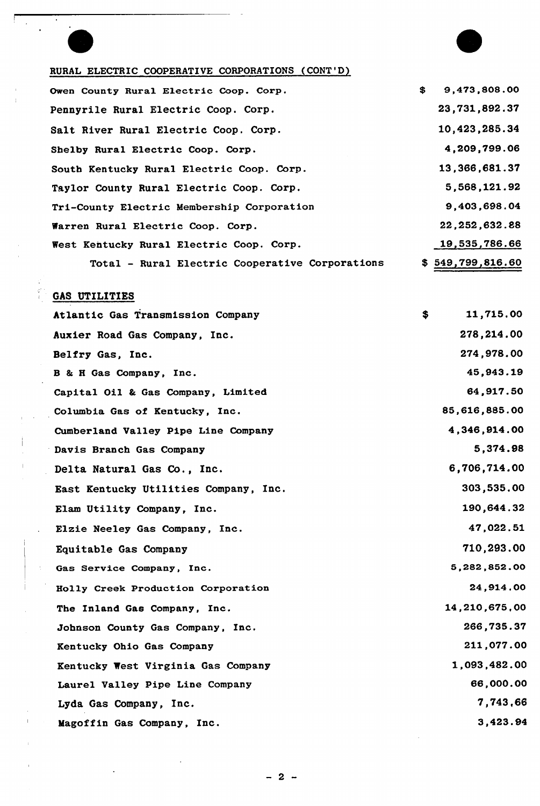## RURAL ELECTRIC COOPERATIVE CORPORATIONS (CONT'D)

| Owen County Rural Electric Coop. Corp.          | \$<br>9,473,808.00 |
|-------------------------------------------------|--------------------|
| Pennyrile Rural Electric Coop. Corp.            | 23,731,892.37      |
| Salt River Rural Electric Coop. Corp.           | 10,423,285.34      |
| Shelby Rural Electric Coop. Corp.               | 4,209,799.06       |
| South Kentucky Rural Electric Coop. Corp.       | 13,366,681.37      |
| Taylor County Rural Electric Coop. Corp.        | 5,568,121.92       |
| Tri-County Electric Membership Corporation      | 9,403,698.04       |
| Warren Rural Electric Coop. Corp.               | 22, 252, 632.88    |
| West Kentucky Rural Electric Coop. Corp.        | 19,535,786.66      |
| Total - Rural Electric Cooperative Corporations | \$549,799,816.60   |

# GAS UTILITIES

| Atlantic Gas Transmission Company     | \$<br>11,715.00 |
|---------------------------------------|-----------------|
| Auxier Road Gas Company, Inc.         | 278,214.00      |
| Belfry Gas, Inc.                      | 274,978.00      |
| B & H Gas Company, Inc.               | 45,943.19       |
| Capital Oil & Gas Company, Limited    | 64,917.50       |
| Columbia Gas of Kentucky, Inc.        | 85,616,885.00   |
| Cumberland Valley Pipe Line Company   | 4,346,914.00    |
| Davis Branch Gas Company              | 5,374.98        |
| Delta Natural Gas Co., Inc.           | 6,706,714.00    |
| East Kentucky Utilities Company, Inc. | 303,535.00      |
| Elam Utility Company, Inc.            | 190,644.32      |
| Elzie Neeley Gas Company, Inc.        | 47,022.51       |
| Equitable Gas Company                 | 710,293.00      |
| Gas Service Company, Inc.             | 5,282,852.00    |
| Holly Creek Production Corporation    | 24,914.00       |
| The Inland Gas Company, Inc.          | 14,210,675,00   |
| Johnson County Gas Company, Inc.      | 266,735.37      |
| Kentucky Ohio Gas Company             | 211,077.00      |
| Kentucky West Virginia Gas Company    | 1,093,482.00    |
| Laurel Valley Pipe Line Company       | 66,000.00       |
| Lyda Gas Company, Inc.                | 7,743,66        |
| Magoffin Gas Company, Inc.            | 3,423.94        |

 $2 -$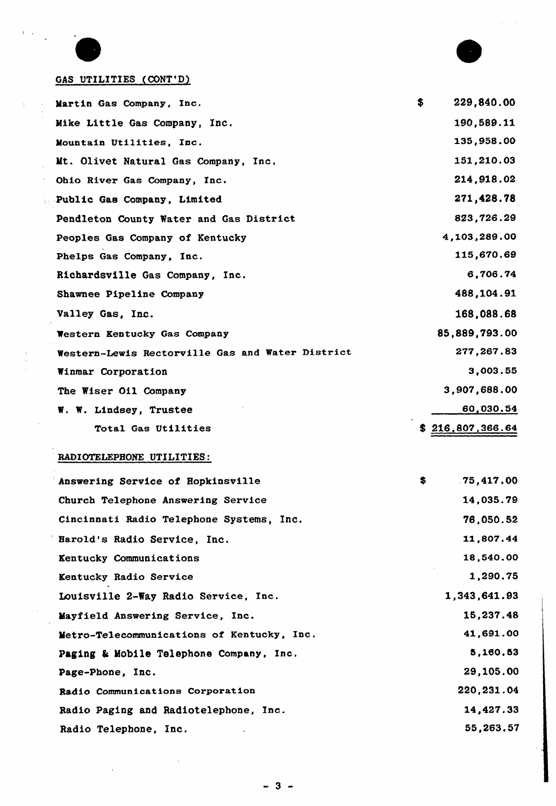

 $\mathbf{I}$  $\mathcal{L}_{\mathbf{r}}$ 

 $\frac{1}{2}$ 

 $\ddot{\phantom{a}}$  $\ddot{\phantom{a}}$ 

 $\frac{1}{3}\frac{1}{2}$ 

 $\sim$ 

 $\bar{z}$  $\pm$ 



 $\mathcal{A}^{\pm}$ 

## GAS UTILITIES (CONT'D)

| Martin Gas Company, Inc.                         | \$<br>229,840.00 |
|--------------------------------------------------|------------------|
| Mike Little Gas Company, Inc.                    | 190,589.11       |
| Mountain Utilities, Inc.                         | 135,958.00       |
| Mt. Olivet Natural Gas Company, Inc.             | 151,210.03       |
| Ohio River Gas Company, Inc.                     | 214,918.02       |
| Public Gas Company, Limited                      | 271,428.78       |
| Pendleton County Water and Gas District          | 823,726.29       |
| Peoples Gas Company of Kentucky                  | 4,103,289.00     |
| Phelps Gas Company, Inc.                         | 115,670.69       |
| Richardsville Gas Company, Inc.                  | 6,706.74         |
| Shawnee Pipeline Company                         | 488,104.91       |
| Valley Gas, Inc.                                 | 168,088.68       |
| Western Kentucky Gas Company                     | 85,889,793.00    |
| Western-Lewis Rectorville Gas and Water District | 277,267.83       |
| Winmar Corporation                               | 3,003.55         |
| The Wiser Oil Company                            | 3,907,688.00     |
| W. W. Lindsey, Trustee                           | 60,030.54        |
| Total Gas Utilities                              | 216,807,366.64   |

## RADIOTELEPBONE UTILITIES:

| Answering Service of Hopkinsville          | \$<br>.75,417.00 |
|--------------------------------------------|------------------|
| Church Telephone Answering Service         | 14,035.79        |
| Cincinnati Radio Telephone Systems, Inc.   | 76,050.52        |
| Harold's Radio Service, Inc.               | 11,807.44        |
| Kentucky Communications                    | 18,540.00        |
| Kentucky Radio Service                     | 1,290.75         |
| Louisville 2-Way Radio Service, Inc.       | 1,343,641.93     |
| Mayfield Answering Service, Inc.           | 15,237.48        |
| Metro-Telecommunications of Kentucky, Inc. | 41,691.00        |
| Paging & Mobile Telephone Company, Inc.    | 5,160.53         |
| Page-Phone, Inc.                           | 29,105.00        |
| Radio Communications Corporation           | 220, 231.04      |
| Radio Paging and Radiotelephone, Inc.      | 14,427.33        |
| Radio Telephone, Inc.                      | 55,263.57        |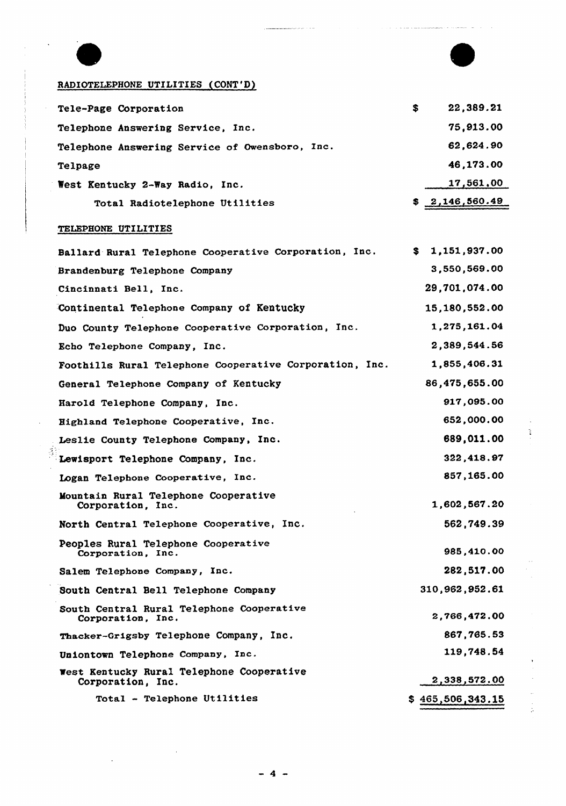

## RADIOTELEPHONE UTILITIES (CONT'D}

| Tele-Page Corporation                          | S. | 22,389.21      |
|------------------------------------------------|----|----------------|
| Telephone Answering Service, Inc.              |    | 75,913.00      |
| Telephone Answering Service of Owensboro, Inc. |    | 62,624.90      |
| Telpage                                        |    | 46,173.00      |
| West Kentucky 2-Way Radio, Inc.                |    | 17,561,00      |
| Total Radiotelephone Utilities                 |    | \$2,146,560.49 |

## TELEPHONE UTILITIES

| Ballard Rural Telephone Cooperative Corporation, Inc.          | 1,151,937.00<br>\$ |
|----------------------------------------------------------------|--------------------|
| Brandenburg Telephone Company                                  | 3,550,569.00       |
| Cincinnati Bell, Inc.                                          | 29,701,074.00      |
| Continental Telephone Company of Kentucky                      | 15, 180, 552.00    |
| Duo County Telephone Cooperative Corporation, Inc.             | 1,275,161.04       |
| Echo Telephone Company, Inc.                                   | 2,389,544.56       |
| Foothills Rural Telephone Cooperative Corporation, Inc.        | 1,855,406.31       |
| General Telephone Company of Kentucky                          | 86,475,655.00      |
| Harold Telephone Company, Inc.                                 | 917,095.00         |
| Highland Telephone Cooperative, Inc.                           | 652,000.00         |
| Leslie County Telephone Company, Inc.                          | 689,011.00         |
| Lewisport Telephone Company, Inc.                              | 322,418.97         |
| Logan Telephone Cooperative, Inc.                              | 857,165.00         |
| Mountain Rural Telephone Cooperative<br>Corporation, Inc.      | 1,602,567.20       |
| North Central Telephone Cooperative, Inc.                      | 562,749.39         |
| Peoples Rural Telephone Cooperative<br>Corporation, Inc.       | 985,410.00         |
| Salem Telephone Company, Inc.                                  | 282,517.00         |
| South Central Bell Telephone Company                           | 310,962,952.61     |
| South Central Rural Telephone Cooperative<br>Corporation, Inc. | 2,766,472.00       |
| Thacker-Grigsby Telephone Company, Inc.                        | 867,765.53         |
| Uniontown Telephone Company, Inc.                              | 119,748.54         |
| West Kentucky Rural Telephone Cooperative<br>Corporation, Inc. | 2,338,572.00       |
| Total - Telephone Utilities                                    | \$465,506,343.15   |

Ť,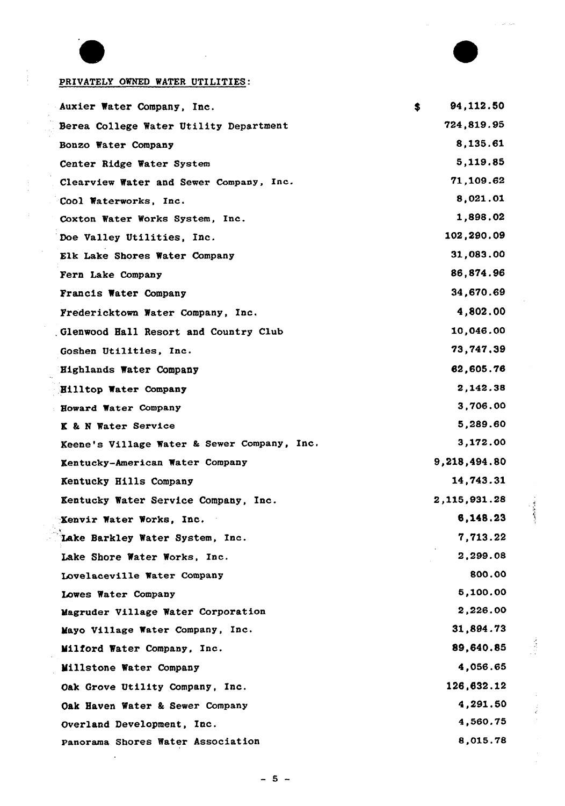

 $\frac{1}{t}$ 

 $\lambda$ 

 $\hat{\mathcal{A}}$ 

## PRIVATELY OWNED WATER UTILITIES:

| Auxier Water Company, Inc.                  | 94,112.50<br>S. |
|---------------------------------------------|-----------------|
| Berea College Water Utility Department      | 724,819.95      |
| Bonzo Water Company                         | 8,135.61        |
| Center Ridge Water System                   | 5,119.85        |
| Clearview Water and Sewer Company, Inc.     | 71,109.62       |
| Cool Waterworks, Inc.                       | 8,021.01        |
| Coxton Water Works System, Inc.             | 1,898.02        |
| Doe Valley Utilities, Inc.                  | 102,290.09      |
| Elk Lake Shores Water Company               | 31,083.00       |
| Fern Lake Company                           | 86,874.96       |
| Francis Water Company                       | 34,670.69       |
| Fredericktown Water Company, Inc.           | 4,802.00        |
| Glenwood Hall Resort and Country Club       | 10,046.00       |
| Goshen Utilities, Inc.                      | 73,747.39       |
| Highlands Water Company                     | 62,605.76       |
| Hilltop Water Company                       | 2,142.38        |
| <b>Howard Water Company</b>                 | 3,706.00        |
| K & N Water Service                         | 5,289.60        |
| Keene's Village Water & Sewer Company, Inc. | 3,172.00        |
| Kentucky-American Water Company             | 9,218,494.80    |
| Kentucky Hills Company                      | 14,743.31       |
| Kentucky Water Service Company, Inc.        | 2,115,931.28    |
| Xenvir Water Works, Inc.                    | 6,148.23        |
| Lake Barkley Water System, Inc.             | 7,713.22        |
| Lake Shore Water Works, Inc.                | 2,299.08        |
| Lovelaceville Water Company                 | 800.00          |
| Lowes Water Company                         | 5,100.00        |
| Magruder Village Water Corporation          | 2,226.00        |
| Mayo Village Water Company, Inc.            | 31,894.73       |
| Milford Water Company, Inc.                 | 89,640.85       |
| Millstone Water Company                     | 4,056.65        |
| Oak Grove Utility Company, Inc.             | 126,632.12      |
| Oak Haven Water & Sewer Company             | 4,291.50        |
| Overland Development, Inc.                  | 4,560.75        |
| Panorama Shores Water Association           | 8,015.78        |
|                                             |                 |

 $-5 -$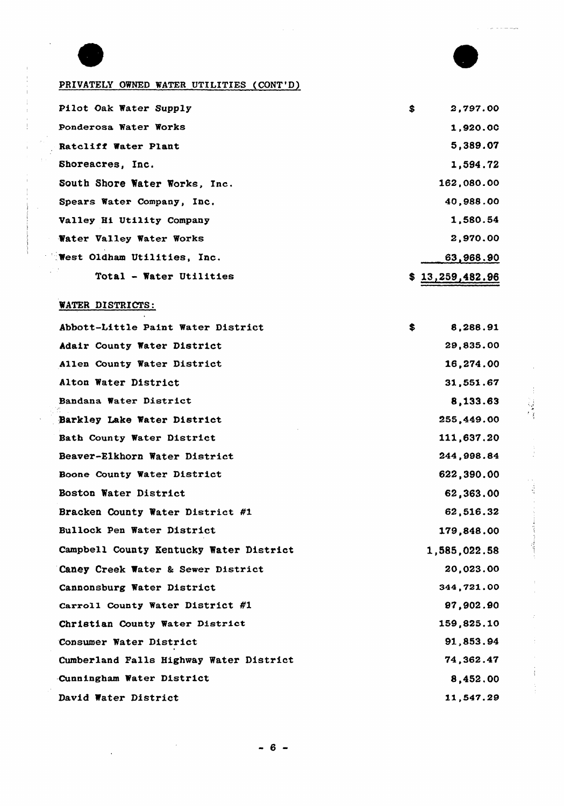

 $\frac{1}{2}$ 

 $\frac{1}{2}$ 

₫.

ŧ



## PRIVATELY OWNED WATER UTILITIES (CONT'D)

| Pilot Oak Water Supply             | \$<br>2,797.00  |
|------------------------------------|-----------------|
| Ponderosa Water Works              | 1,920.00        |
| Ratcliff Water Plant               | 5,389.07        |
| Shoreacres, Inc.                   | 1,594.72        |
| South Shore Water Works, Inc.      | 162,080.00      |
| Spears Water Company, Inc.         | 40,988.00       |
| Valley Hi Utility Company          | 1,580.54        |
| Water Valley Water Works           | 2,970.00        |
| <b>Test Oldham Utilities, Inc.</b> | 63,968.90       |
| Total - Water Utilities            | \$13,259,482.96 |

## WATER DISTRICTS:

| Abbott-Little Paint Water District      | \$<br>8,288.91 |
|-----------------------------------------|----------------|
| Adair County Water District             | 29,835.00      |
| Allen County Water District             | 16,274.00      |
| Alton Water District                    | 31,551.67      |
| Bandana Water District                  | 8,133.63       |
| Barkley Lake Water District             | 255,449.00     |
| Bath County Water District              | 111,637.20     |
| Beaver-Elkhorn Water District           | 244,998.84     |
| Boone County Water District             | 622,390.00     |
| Boston Water District                   | 62,363.00      |
| Bracken County Water District #1        | 62,516.32      |
| Bullock Pen Water District              | 179,848.00     |
| Campbell County Kentucky Water District | 1,585,022.58   |
| Caney Creek Water & Sewer District      | 20,023.00      |
| Cannonsburg Water District              | 344,721.00     |
| Carroll County Water District #1        | 97,902.90      |
| Christian County Water District         | 159,825.10     |
| Consumer Water District                 | 91,853.94      |
| Cumberland Falls Highway Water District | 74,362.47      |
| Cunningham Water District               | 8,452.00       |
| David Water District                    | 11,547.29      |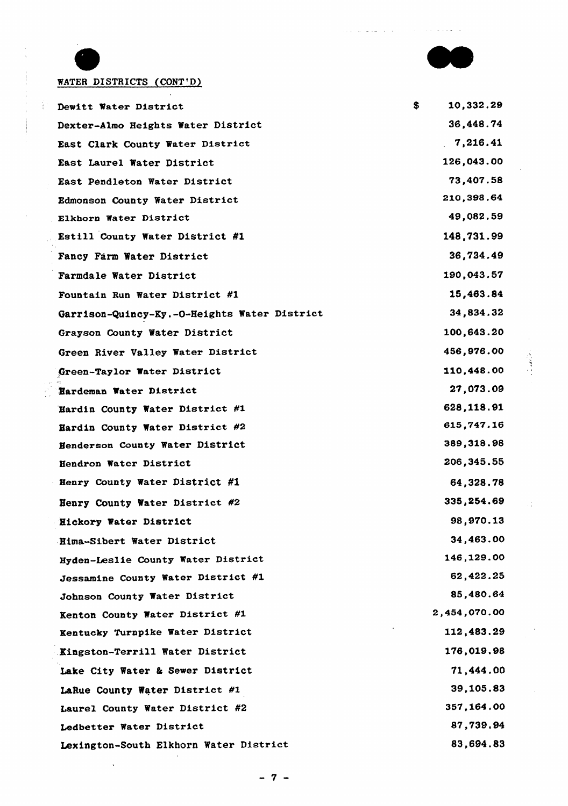

 $\frac{1}{4}$  :

τř

والمعاوية والمرابط

 $\sim$ 

## WATER DISTRICTS (CONT'D)

 $\ddot{\phantom{0}}$ 

| Dewitt Water District                        | \$<br>10,332.29 |
|----------------------------------------------|-----------------|
| Dexter-Almo Heights Water District           | 36,448.74       |
| East Clark County Water District             | 7,216.41        |
| East Laurel Water District                   | 126,043.00      |
| East Pendleton Water District                | 73,407.58       |
| Edmonson County Water District               | 210,398.64      |
| Elkhorn Water District                       | 49,082.59       |
| Estill County Water District #1              | 148,731.99      |
| Fancy Farm Water District                    | 36,734.49       |
| Farmdale Water District                      | 190,043.57      |
| Fountain Run Water District #1               | 15,463.84       |
| Garrison-Quincy-Ky.-O-Heights Water District | 34,834.32       |
| Grayson County Water District                | 100,643.20      |
| Green River Valley Water District            | 456,976.00      |
| Green-Taylor Water District                  | 110,448.00      |
| Hardeman Water District                      | 27,073.09       |
| Hardin County Water District #1              | 628,118.91      |
| Hardin County Water District #2              | 615,747.16      |
| Henderson County Water District              | 389, 318.98     |
| Hendron Water District                       | 206, 345.55     |
| Henry County Water District #1               | 64,328.78       |
| Henry County Water District #2               | 335,254.69      |
| Eickory Water District                       | 98,970.13       |
| Hima-Sibert Water District                   | 34,463.00       |
| Hyden-Leslie County Water District           | 146,129.00      |
| Jessamine County Water District #1           | 62,422.25       |
| Johnson County Water District                | 85,480.64       |
| Kenton County Water District #1              | 2,454,070.00    |
| Kentucky Turnpike Water District             | 112,483.29      |
| Kingston-Terrill Water District              | 176,019.98      |
| Lake City Water & Sewer District             | 71,444.00       |
| LaRue County Water District #1               | 39,105.83       |
| Laurel County Water District #2              | 357, 164.00     |
| Ledbetter Water District                     | 87,739.94       |
| Lexington-South Elkhorn Water District       | 83,694.83       |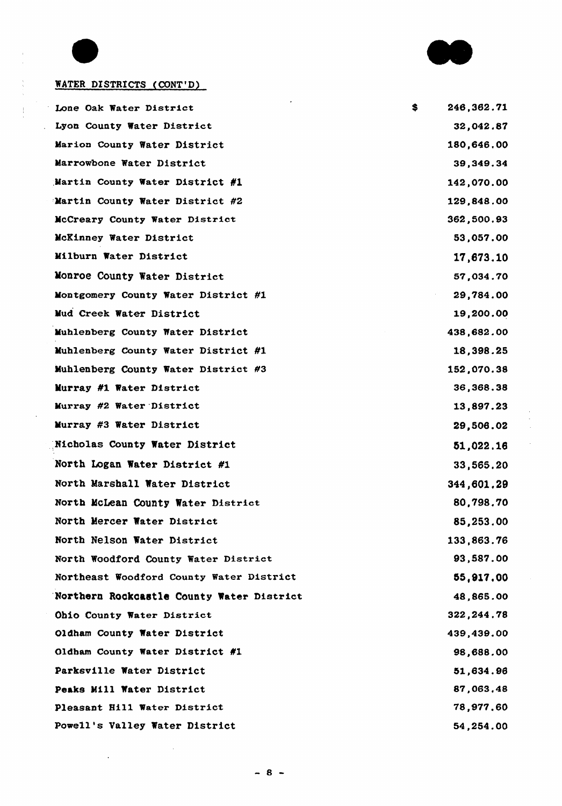

 $\frac{1}{\epsilon}$ 

 $\bar{\mathcal{A}}$ 

 $\ddot{\phantom{a}}$ 



## WATER DISTRICTS (CONT'D)

| Lone Oak Water District                   | S. | 246,362.71  |
|-------------------------------------------|----|-------------|
| Lyon County Water District                |    | 32,042.87   |
| Marion County Water District              |    | 180,646.00  |
| Marrowbone Water District                 |    | 39,349.34   |
| Martin County Water District #1           |    | 142,070.00  |
| Martin County Water District #2           |    | 129,848.00  |
| McCreary County Water District            |    | 362,500.93  |
| McKinney Water District                   |    | 53,057.00   |
| Milburn Water District                    |    | 17,673.10   |
| Monroe County Water District              |    | 57,034.70   |
| Montgomery County Water District #1       |    | 29,784.00   |
| Mud Creek Water District                  |    | 19,200.00   |
| Muhlenberg County Water District          |    | 438,682.00  |
| Muhlenberg County Water District #1       |    | 18,398.25   |
| Muhlenberg County Water District #3       |    | 152,070.38  |
| Murray #1 Water District                  |    | 36, 368. 38 |
| Murray #2 Water District                  |    | 13,897.23   |
| Murray #3 Water District                  |    | 29,506.02   |
| Nicholas County Water District            |    | 51,022.16   |
| North Logan Water District #1             |    | 33,565.20   |
| North Marshall Water District             |    | 344,601.29  |
| North McLean County Water District        |    | 80,798,70   |
| North Mercer Water District               |    | 85,253.00   |
| North Nelson Water District               |    | 133,863.76  |
| North Woodford County Water District      |    | 93,587.00   |
| Northeast Woodford County Water District  |    | 55,917.00   |
| Northern Rockcastle County Water District |    | 48,865.00   |
| Ohio County Water District                |    | 322, 244.78 |
| Oldham County Water District              |    | 439,439.00  |
| Oldham County Water District #1           |    | 98,688.00   |
| Parksville Water District                 |    | 51,634.96   |
| Peaks Mill Water District                 |    | 87,063,48   |
| Pleasant Hill Water District              |    | 78,977.60   |
| Powell's Valley Water District            |    | 54,254.00   |

 $\mathcal{A}$ 

 $\ddot{\phantom{a}}$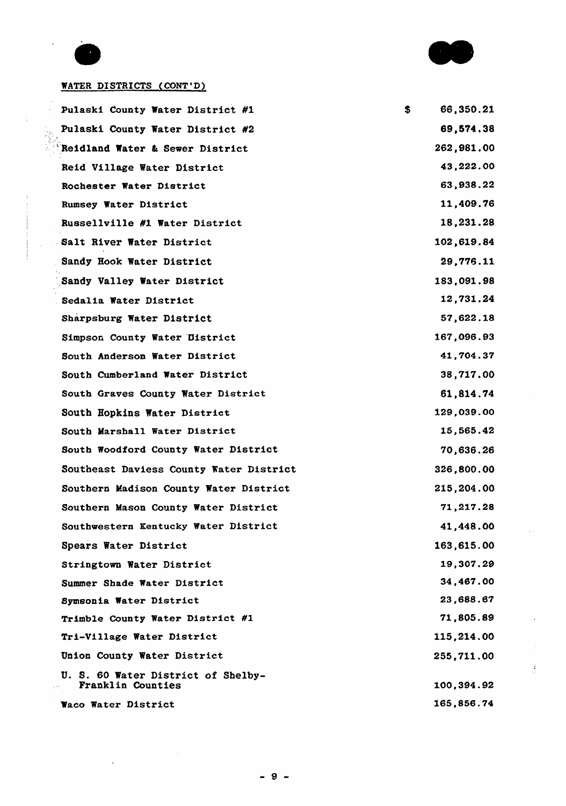

S.

66,350.21

#### WATER DISTRICTS (CONT'D)

Pulaski County Water District #1 Pulaski County Water District #2 Reidland Water & Sewer District Reid Village Water District Rochester Water District Rumsey Water District Russellville #1 Water District Salt River Water District Sandy Hook Water District Sandy Valley Water District . Sedalia Water District Sharysburg Water District Simpson County Water Oistrict South Anderson Water District South Cumberland Water District South Graves County Water District South Hopkins Water District South Marshall Water District South Woodford County Water District Southeast Daviess County Water District Southern Madison County Water District Southern Mason County Water District Southmestern Kentucky Water District Spears Water District Stringtown Water District Summer Shade Water District Symsonia Water District Trimble County Water District fl Tri-Village Water District Union County Water District U. S. 60 Water District of Shelby-Franklin Counties Waco Water District

69,5V4.38 262,981.00 43,222.00 63,938.22 11,409.76 18,231.28 102,619.84 29,778.11 183,091.98 12,731.24 57,622.18 167,096.93 41,704.37 38,717.00 61,814.V4 129,039.00 15,565.42 V0,636.26 326,800.00 215,204.00 71,217.28 41,448.00 163,615.00 19,307.29 34,467.00 23,688.67 71,805.89 115,214.00 255,711.00 100,394.92 165,858.74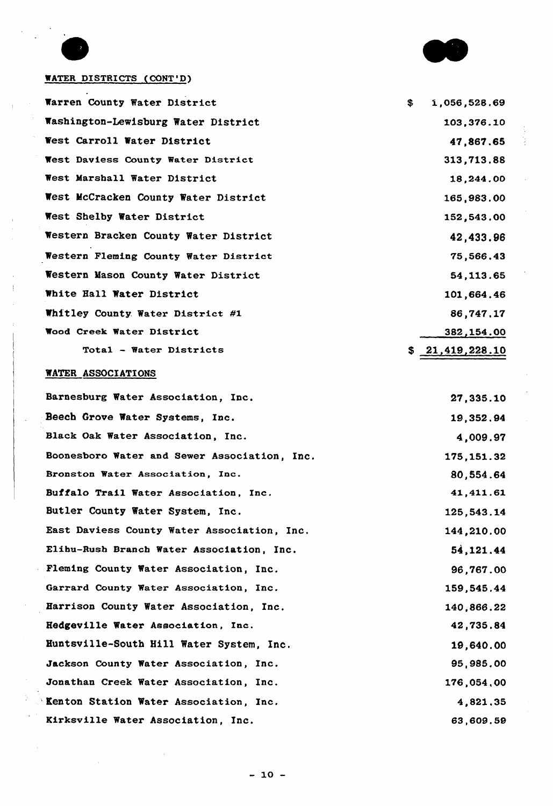

ţ. ł

## WATER DISTRICTS (CONT'D)

 $\ddot{\phantom{a}}$ 

 $\sim$ 

 $\frac{1}{\lambda}$ 

 $\bar{\gamma}$ 

 $\sim$ 

 $\pm$ 

| Warren County Water District          | \$<br>1,056,528.69 |
|---------------------------------------|--------------------|
| Washington-Lewisburg Water District   | 103,376.10         |
| West Carroll Water District           | 47,867.65          |
| West Daviess County Water District    | 313,713.88         |
| West Marshall Water District          | 18,244.00          |
| West McCracken County Water District  | 165,983.00         |
| West Shelby Water District            | 152,543.00         |
| Western Bracken County Water District | 42,433.96          |
| Western Fleming County Water District | 75,566.43          |
| Western Mason County Water District   | 54, 113.65         |
| White Hall Water District             | 101,664.46         |
| Whitley County Water District #1      | 86,747.17          |
| Wood Creek Water District             | 382,154.00         |
| Total - Water Districts               | \$21,419,228.10    |

## WATER ASSOCIATIONS

 $\bar{z}$ 

| Barnesburg Water Association, Inc.           | 27,335.10   |
|----------------------------------------------|-------------|
| Beech Grove Water Systems, Inc.              | 19,352.94   |
| Black Oak Water Association, Inc.            | 4,009.97    |
| Boonesboro Water and Sewer Association, Inc. | 175, 151.32 |
| Bronston Water Association, Inc.             | 80,554.64   |
| Buffalo Trail Water Association, Inc.        | 41,411.61   |
| Butler County Water System, Inc.             | 125,543.14  |
| East Daviess County Water Association, Inc.  | 144,210.00  |
| Elihu-Rush Branch Water Association, Inc.    | 54, 121.44  |
| Fleming County Water Association, Inc.       | 96,767.00   |
| Garrard County Water Association, Inc.       | 159,545.44  |
| Harrison County Water Association, Inc.      | 140,866.22  |
| Hedgeville Water Association, Inc.           | 42,735.84   |
| Huntsville-South Hill Water System, Inc.     | 19,640.00   |
| Jackson County Water Association, Inc.       | 95,985.00   |
| Jonathan Creek Water Association, Inc.       | 176,054,00  |
| 'Kenton Station Water Association, Inc.      | 4,821,35    |
| Kirksville Water Association, Inc.           | 63,609.59   |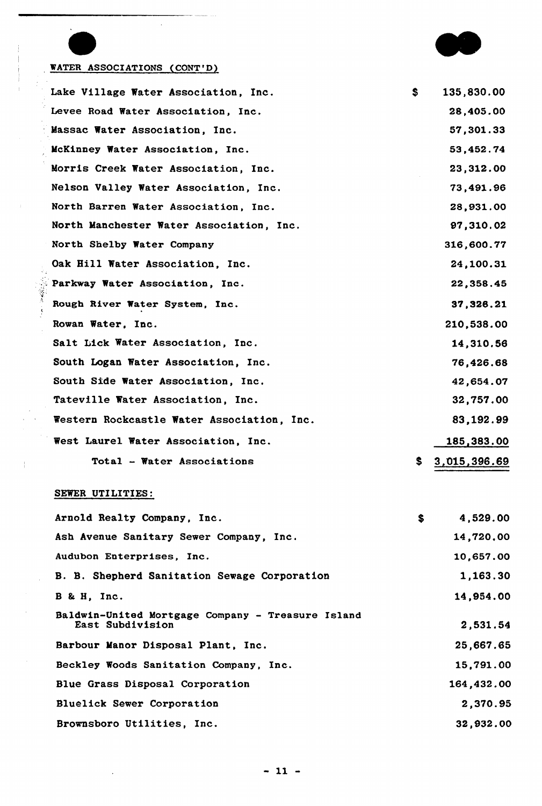

## WATER ASSOCIATIONS (CONT'D)

 $\frac{1}{2}$ 

 $\frac{1}{4}$ 

 $\hat{\boldsymbol{\epsilon}}$ 

 $\bar{1}$ 

 $\ddot{\phantom{0}}$ 

|  | Lake Village Water Association, Inc.       | S. | 135,830.00   |
|--|--------------------------------------------|----|--------------|
|  | Levee Road Water Association, Inc.         |    | 28,405.00    |
|  | Massac Water Association, Inc.             |    | 57,301.33    |
|  | McKinney Water Association, Inc.           |    | 53,452.74    |
|  | Morris Creek Water Association, Inc.       |    | 23,312.00    |
|  | Nelson Valley Water Association, Inc.      |    | 73,491.96    |
|  | North Barren Water Association, Inc.       |    | 28,931.00    |
|  | North Manchester Water Association, Inc.   |    | 97,310.02    |
|  | North Shelby Water Company                 |    | 316,600.77   |
|  | Oak Hill Water Association, Inc.           |    | 24,100.31    |
|  | Parkway Water Association, Inc.            |    | 22,358.45    |
|  | Rough River Water System, Inc.             |    | 37, 326.21   |
|  | Rowan Water, Inc.                          |    | 210,538.00   |
|  | Salt Lick Water Association, Inc.          |    | 14,310.56    |
|  | South Logan Water Association, Inc.        |    | 76,426.68    |
|  | South Side Water Association, Inc.         |    | 42,654.07    |
|  | Tateville Water Association, Inc.          |    | 32,757.00    |
|  | Western Rockcastle Water Association, Inc. |    | 83,192.99    |
|  | West Laurel Water Association, Inc.        |    | 185,383.00   |
|  | Total - Water Associations                 | S. | 3,015,396.69 |

### SEWER UTILITIES:

 $\epsilon$ 

| Arnold Realty Company, Inc.                                           | \$<br>4,529.00 |
|-----------------------------------------------------------------------|----------------|
| Ash Avenue Sanitary Sewer Company, Inc.                               | 14,720,00      |
| Audubon Enterprises, Inc.                                             | 10,657.00      |
| B. B. Shepherd Sanitation Sewage Corporation                          | 1,163.30       |
| B & H, Inc.                                                           | 14,954.00      |
| Baldwin-United Mortgage Company - Treasure Island<br>East Subdivision | 2,531.54       |
| Barbour Manor Disposal Plant, Inc.                                    | 25,667.65      |
| Beckley Woods Sanitation Company, Inc.                                | 15,791.00      |
| Blue Grass Disposal Corporation                                       | 164,432.00     |
| Bluelick Sewer Corporation                                            | 2,370.95       |
| Brownsboro Utilities, Inc.                                            | 32,932.00      |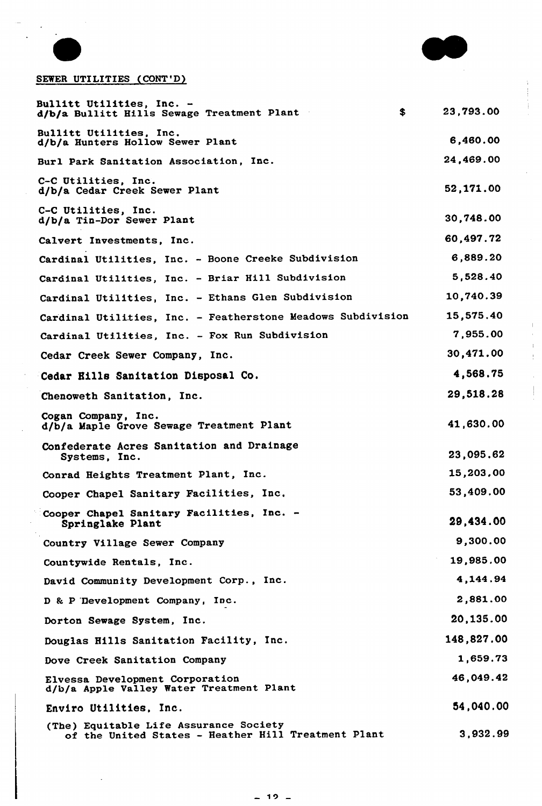

## SEWER UTILITIES (CONT'D)

| Bullitt Utilities, Inc. -<br>$\bullet$<br>d/b/a Bullitt Hills Sewage Treatment Plant          | 23,793.00  |
|-----------------------------------------------------------------------------------------------|------------|
| Bullitt Utilities, Inc.<br>d/b/a Hunters Hollow Sewer Plant                                   | 6,460.00   |
| Burl Park Sanitation Association, Inc.                                                        | 24,469.00  |
| C-C Utilities, Inc.<br>d/b/a Cedar Creek Sewer Plant                                          | 52,171.00  |
| C-C Utilities, Inc.<br>d/b/a Tin-Dor Sewer Plant                                              | 30,748.00  |
| Calvert Investments, Inc.                                                                     | 60,497.72  |
| Cardinal Utilities, Inc. - Boone Creeke Subdivision                                           | 6,889.20   |
| Cardinal Utilities, Inc. - Briar Hill Subdivision                                             | 5,528.40   |
| Cardinal Utilities, Inc. - Ethans Glen Subdivision                                            | 10,740.39  |
| Cardinal Utilities, Inc. - Featherstone Meadows Subdivision                                   | 15,575.40  |
| Cardinal Utilities, Inc. - Fox Run Subdivision                                                | 7,955.00   |
| Cedar Creek Sewer Company, Inc.                                                               | 30,471.00  |
| Cedar Eills Sanitation Disposal Co.                                                           | 4,568.75   |
| Chenoweth Sanitation, Inc.                                                                    | 29,518.28  |
| Cogan Company, Inc.<br>d/b/a Maple Grove Sewage Treatment Plant                               | 41,630.00  |
| Confederate Acres Sanitation and Drainage<br>Systems, Inc.                                    | 23,095.62  |
| Conrad Heights Treatment Plant, Inc.                                                          | 15,203,00  |
| Cooper Chapel Sanitary Facilities, Inc.                                                       | 53,409.00  |
| Cooper Chapel Sanitary Facilities, Inc. -<br>Springlake Plant                                 | 29,434.00  |
| Country Village Sewer Company                                                                 | 9,300.00   |
| Countywide Rentals, Inc.                                                                      | 19,985.00  |
| David Community Development Corp., Inc.                                                       | 4,144.94   |
| D & P Development Company, Inc.                                                               | 2,881.00   |
| Dorton Sewage System, Inc.                                                                    | 20,135.00  |
| Douglas Hills Sanitation Facility, Inc.                                                       | 148,827.00 |
| Dove Creek Sanitation Company                                                                 | 1,659.73   |
| Elvessa Development Corporation<br>d/b/a Apple Valley Water Treatment Plant                   | 46,049.42  |
| Enviro Utilities, Inc.                                                                        | 54,040.00  |
| (The) Equitable Life Assurance Society<br>of the United States - Heather Hill Treatment Plant | 3,932.99   |

ł,  $\frac{1}{2}$  $\frac{1}{2}$ 

 $\begin{array}{c} \begin{array}{c} \begin{array}{c} \end{array} \end{array} \end{array}$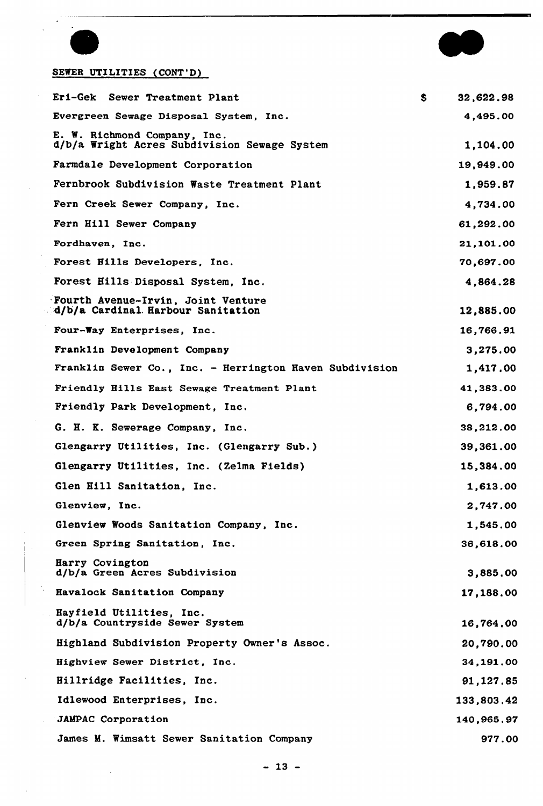

. . . . .  $\overline{a}$ 

 $\bar{\gamma}$ 

 $\bar{z}$ 

## SEWER UTILITIES (CONT'D)

| Eri-Gek Sewer Treatment Plant                                                | \$<br>32,622.98 |
|------------------------------------------------------------------------------|-----------------|
| Evergreen Sewage Disposal System, Inc.                                       | 4,495.00        |
| E. W. Richmond Company, Inc.<br>d/b/a Wright Acres Subdivision Sewage System | 1,104.00        |
| Farmdale Development Corporation                                             | 19,949.00       |
| Fernbrook Subdivision Waste Treatment Plant                                  | 1,959.87        |
| Fern Creek Sewer Company, Inc.                                               | 4,734.00        |
| Fern Hill Sewer Company                                                      | 61,292.00       |
| Fordhaven, Inc.                                                              | 21,101.00       |
| Forest Hills Developers, Inc.                                                | 70,697.00       |
| Forest Hills Disposal System, Inc.                                           | 4,864.28        |
| Fourth Avenue-Irvin, Joint Venture<br>d/b/a Cardinal Harbour Sanitation      | 12,885.00       |
| Four-Way Enterprises, Inc.                                                   | 16,766.91       |
| Franklin Development Company                                                 | 3,275.00        |
| Franklin Sewer Co., Inc. - Herrington Haven Subdivision                      | 1,417.00        |
| Friendly Hills East Sewage Treatment Plant                                   | 41,383.00       |
| Friendly Park Development, Inc.                                              | 6,794.00        |
| G. H. K. Sewerage Company, Inc.                                              | 38,212.00       |
| Glengarry Utilities, Inc. (Glengarry Sub.)                                   | 39,361.00       |
| Glengarry Utilities, Inc. (Zelma Fields)                                     | 15,384.00       |
| Glen Hill Sanitation, Inc.                                                   | 1,613.00        |
| Glenview, Inc.                                                               | 2,747.00        |
| Glenview Woods Sanitation Company, Inc.                                      | 1,545.00        |
| Green Spring Sanitation, Inc.                                                | 36,618.00       |
| Harry Covington<br>d/b/a Green Acres Subdivision                             | 3,885.00        |
| Havalock Sanitation Company                                                  | 17,188.00       |
| Hayfield Utilities, Inc.<br>d/b/a Countryside Sewer System                   | 16,764.00       |
| Highland Subdivision Property Owner's Assoc.                                 | 20,790.00       |
| Highview Sewer District, Inc.                                                | 34,191.00       |
| Hillridge Facilities, Inc.                                                   | 91, 127, 85     |
| Idlewood Enterprises, Inc.                                                   | 133,803.42      |
| <b>JAMPAC Corporation</b>                                                    | 140,965.97      |
| James M. Wimsatt Sewer Sanitation Company                                    | 977.00          |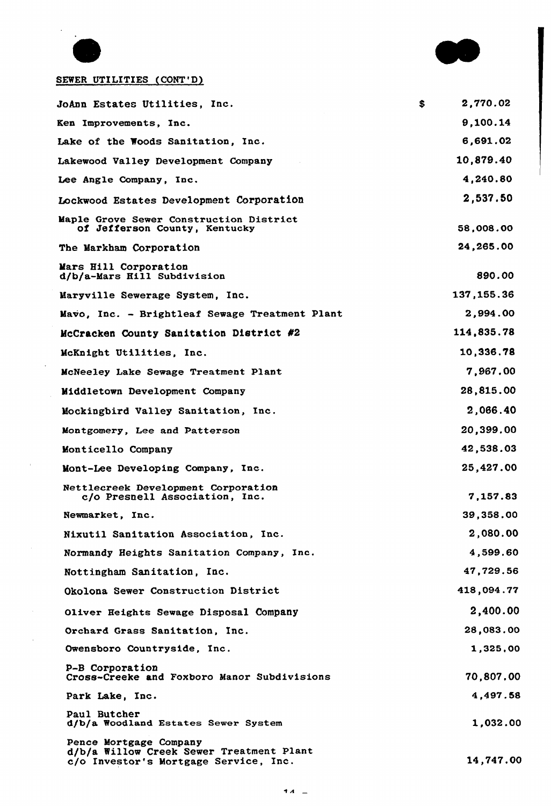

 $\ddot{\phantom{0}}$ 

 $\mathcal{L}_{\mathcal{A}}$ 

 $\alpha$ 

J.

## SEWER UTILITIES (CONT'D)

| JoAnn Estates Utilities, Inc.                                                                               | \$<br>2,770.02 |
|-------------------------------------------------------------------------------------------------------------|----------------|
| Ken Improvements, Inc.                                                                                      | 9.100.14       |
| Lake of the Woods Sanitation, Inc.                                                                          | 6,691.02       |
| Lakewood Valley Development Company                                                                         | 10,879.40      |
| Lee Angle Company, Inc.                                                                                     | 4,240.80       |
| Lockwood Estates Development Corporation                                                                    | 2,537.50       |
| Maple Grove Sewer Construction District<br>of Jefferson County, Kentucky                                    | 58,008.00      |
| The Markham Corporation                                                                                     | 24,265.00      |
| Mars Hill Corporation<br>d/b/a-Mars Hill Subdivision                                                        | 890.00         |
| Maryville Sewerage System, Inc.                                                                             | 137, 155. 36   |
| Mavo, Inc. - Brightleaf Sewage Treatment Plant                                                              | 2,994.00       |
| McCracken County Sanitation District #2                                                                     | 114,835.78     |
| McKnight Utilities, Inc.                                                                                    | 10,336.78      |
| McNeeley Lake Sewage Treatment Plant                                                                        | 7,967.00       |
| Middletown Development Company                                                                              | 28,815.00      |
| Mockingbird Valley Sanitation, Inc.                                                                         | 2,066.40       |
| Montgomery, Lee and Patterson                                                                               | 20,399.00      |
| Monticello Company                                                                                          | 42,538.03      |
| Mont-Lee Developing Company, Inc.                                                                           | 25,427.00      |
| Nettlecreek Development Corporation<br>c/o Presnell Association, Inc.                                       | 7,157.83       |
| Newmarket, Inc.                                                                                             | 39,358.00      |
| Nixutil Sanitation Association, Inc.                                                                        | 2,080.00       |
| Normandy Heights Sanitation Company, Inc.                                                                   | 4,599.60       |
| Nottingham Sanitation, Inc.                                                                                 | 47,729.56      |
| Okolona Sewer Construction District                                                                         | 418,094.77     |
| Oliver Heights Sewage Disposal Company                                                                      | 2,400.00       |
| Orchard Grass Sanitation, Inc.                                                                              | 28,083.00      |
| Owensboro Countryside, Inc.                                                                                 | 1,325,00       |
| P-B Corporation<br>Cross-Creeke and Foxboro Manor Subdivisions                                              | 70,807.00      |
| Park Lake, Inc.                                                                                             | 4,497.58       |
| Paul Butcher<br>d/b/a Woodland Estates Sewer System                                                         | 1,032.00       |
| Pence Mortgage Company<br>d/b/a Willow Creek Sewer Treatment Plant<br>c/o Investor's Mortgage Service, Inc. | 14,747.00      |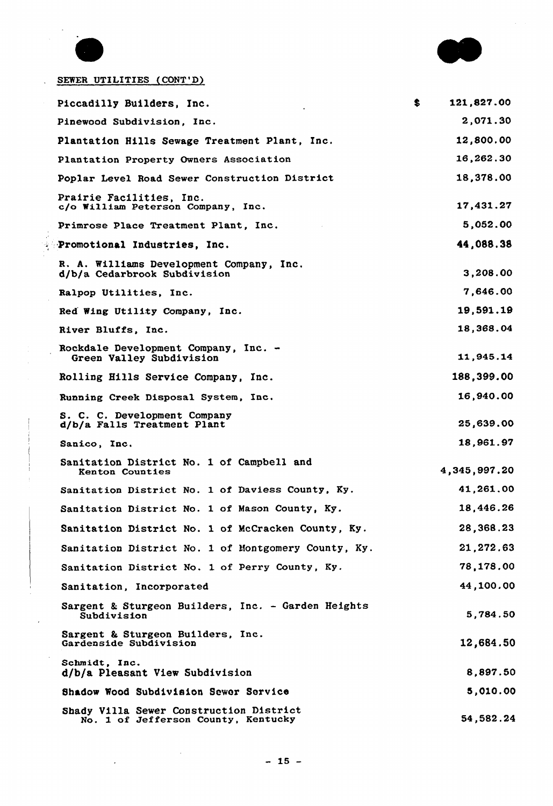



 $\ddot{\phantom{a}}$ 

### SEWER UTILITIES (CONT'D)

| Piccadilly Builders, Inc.                                                      | \$<br>121,827.00 |
|--------------------------------------------------------------------------------|------------------|
| Pinewood Subdivision, Inc.                                                     | 2,071.30         |
| Plantation Hills Sewage Treatment Plant, Inc.                                  | 12,800.00        |
| Plantation Property Owners Association                                         | 16,262.30        |
| Poplar Level Road Sewer Construction District                                  | 18,378.00        |
| Prairie Facilities, Inc.<br>c/o William Peterson Company, Inc.                 | 17,431.27        |
| Primrose Place Treatment Plant, Inc.                                           | 5,052.00         |
| Promotional Industries, Inc.                                                   | 44,088.38        |
| R. A. Williams Development Company, Inc.<br>d/b/a Cedarbrook Subdivision       | 3,208.00         |
| Ralpop Utilities, Inc.                                                         | 7,646.00         |
| Red Wing Utility Company, Inc.                                                 | 19,591.19        |
| River Bluffs, Inc.                                                             | 18,368.04        |
| Rockdale Development Company, Inc. -<br>Green Valley Subdivision               | 11,945.14        |
| Rolling Hills Service Company, Inc.                                            | 188,399.00       |
| Running Creek Disposal System, Inc.                                            | 16,940.00        |
| S. C. C. Development Company<br>d/b/a Falls Treatment Plant                    | 25,639.00        |
| Sanico, Inc.                                                                   | 18,961.97        |
| Sanitation District No. 1 of Campbell and<br><b>Kenton Counties</b>            | 4,345,997.20     |
| Sanitation District No. 1 of Daviess County, Ky.                               | 41,261.00        |
| Sanitation District No. 1 of Mason County, Ky.                                 | 18,446.26        |
| Sanitation District No. 1 of McCracken County, Ky.                             | 28,368.23        |
| Sanitation District No. 1 of Montgomery County, Ky.                            | 21, 272.63       |
| Sanitation District No. 1 of Perry County, Ky.                                 | 78,178.00        |
| Sanitation, Incorporated                                                       | 44,100.00        |
| Sargent & Sturgeon Builders, Inc. - Garden Heights<br>Subdivision              | 5,784.50         |
| Sargent & Sturgeon Builders, Inc.<br>Gardenside Subdivision                    | 12,684.50        |
| Schmidt, Inc.<br>d/b/a Pleasant View Subdivision                               | 8.897.50         |
| Shadow Wood Subdivision Sewer Service                                          | 5,010.00         |
| Shady Villa Sewer Construction District<br>No. 1 of Jefferson County, Kentucky | 54,582.24        |

 $\sim$   $\sim$ 

 $\mathcal{L}^{\mathcal{A}}$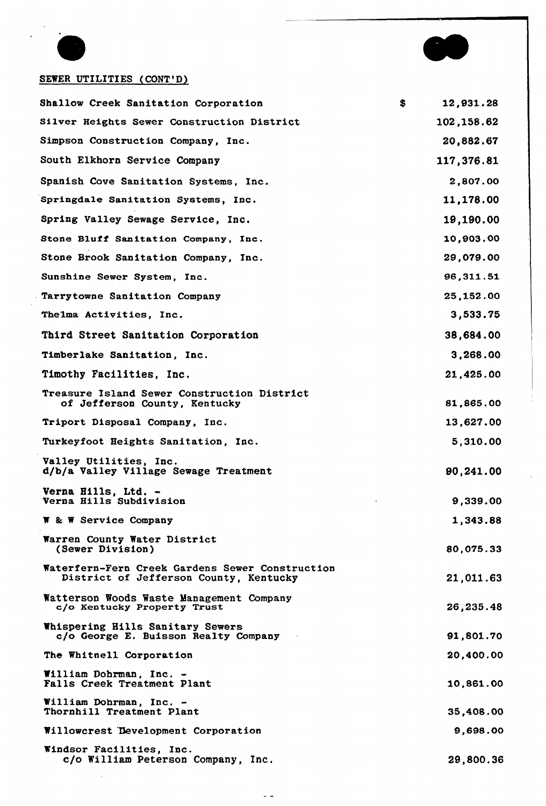



## SEWER UTILITIES (CONT'D)

| Shallow Creek Sanitation Corporation                                                      | \$<br>12,931.28 |
|-------------------------------------------------------------------------------------------|-----------------|
| Silver Heights Sewer Construction District                                                | 102,158.62      |
| Simpson Construction Company, Inc.                                                        | 20,882.67       |
| South Elkhorn Service Company                                                             | 117,376.81      |
| Spanish Cove Sanitation Systems, Inc.                                                     | 2,807.00        |
| Springdale Sanitation Systems, Inc.                                                       | 11,178.00       |
| Spring Valley Sewage Service, Inc.                                                        | 19,190.00       |
| Stone Bluff Sanitation Company, Inc.                                                      | 10,903.00       |
| Stone Brook Sanitation Company, Inc.                                                      | 29,079.00       |
| Sunshine Sewer System, Inc.                                                               | 96,311.51       |
| Tarrytowne Sanitation Company                                                             | 25,152.00       |
| Thelma Activities, Inc.                                                                   | 3,533.75        |
| Third Street Sanitation Corporation                                                       | 38,684.00       |
| Timberlake Sanitation, Inc.                                                               | 3,268.00        |
| Timothy Facilities, Inc.                                                                  | 21,425.00       |
| Treasure Island Sewer Construction District<br>of Jefferson County, Kentucky              | 81,865.00       |
| Triport Disposal Company, Inc.                                                            | 13,627.00       |
| Turkeyfoot Heights Sanitation, Inc.                                                       | 5,310.00        |
| Valley Utilities, Inc.<br>d/b/a Valley Village Sewage Treatment                           | 90,241.00       |
| Verna Hills, Ltd.<br>Verna Hills Subdivision                                              | 9,339.00        |
| W & W Service Company                                                                     | 1,343.88        |
| Warren County Water District<br>(Sewer Division)                                          | 80,075.33       |
| Waterfern-Fern Creek Gardens Sewer Construction<br>District of Jefferson County, Kentucky | 21,011.63       |
| Watterson Woods Waste Management Company<br>c/o Kentucky Property Trust                   | 26,235.48       |
| Whispering Hills Sanitary Sewers<br>c/o George E. Buisson Realty Company                  | 91,801.70       |
| The Whitnell Corporation                                                                  | 20,400.00       |
| William Dohrman, Inc. -<br>Falls Creek Treatment Plant                                    | 10,861.00       |
| William Dohrman, Inc. -<br>Thornhill Treatment Plant                                      | 35,408.00       |
| Willowcrest Development Corporation                                                       | 9,698.00        |
| Windsor Facilities, Inc.<br>c/o William Peterson Company, Inc.                            | 29,800.36       |

 $\sim$   $\sim$